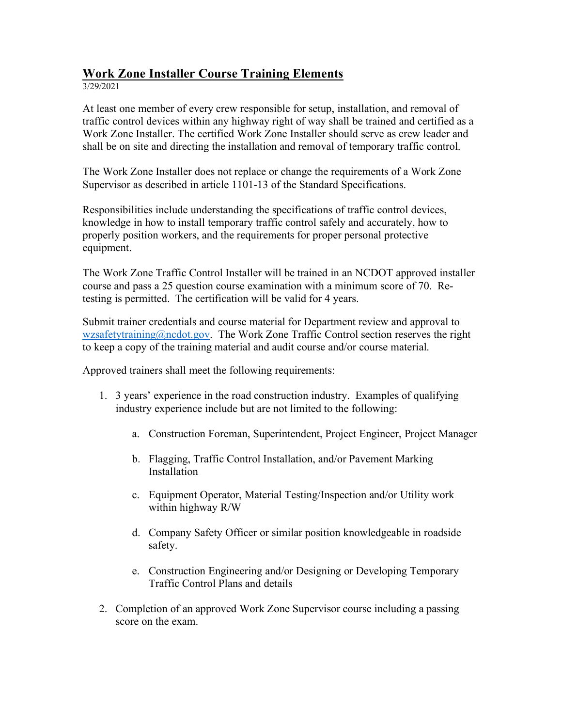# **Work Zone Installer Course Training Elements**

3/29/2021

At least one member of every crew responsible for setup, installation, and removal of traffic control devices within any highway right of way shall be trained and certified as a Work Zone Installer. The certified Work Zone Installer should serve as crew leader and shall be on site and directing the installation and removal of temporary traffic control.

The Work Zone Installer does not replace or change the requirements of a Work Zone Supervisor as described in article 1101-13 of the Standard Specifications.

Responsibilities include understanding the specifications of traffic control devices, knowledge in how to install temporary traffic control safely and accurately, how to properly position workers, and the requirements for proper personal protective equipment.

The Work Zone Traffic Control Installer will be trained in an NCDOT approved installer course and pass a 25 question course examination with a minimum score of 70. Retesting is permitted. The certification will be valid for 4 years.

Submit trainer credentials and course material for Department review and approval to [wzsafetytraining@ncdot.gov.](mailto:wzsafetytraining@ncdot.gov) The Work Zone Traffic Control section reserves the right to keep a copy of the training material and audit course and/or course material.

Approved trainers shall meet the following requirements:

- 1. 3 years' experience in the road construction industry. Examples of qualifying industry experience include but are not limited to the following:
	- a. Construction Foreman, Superintendent, Project Engineer, Project Manager
	- b. Flagging, Traffic Control Installation, and/or Pavement Marking Installation
	- c. Equipment Operator, Material Testing/Inspection and/or Utility work within highway R/W
	- d. Company Safety Officer or similar position knowledgeable in roadside safety.
	- e. Construction Engineering and/or Designing or Developing Temporary Traffic Control Plans and details
- 2. Completion of an approved Work Zone Supervisor course including a passing score on the exam.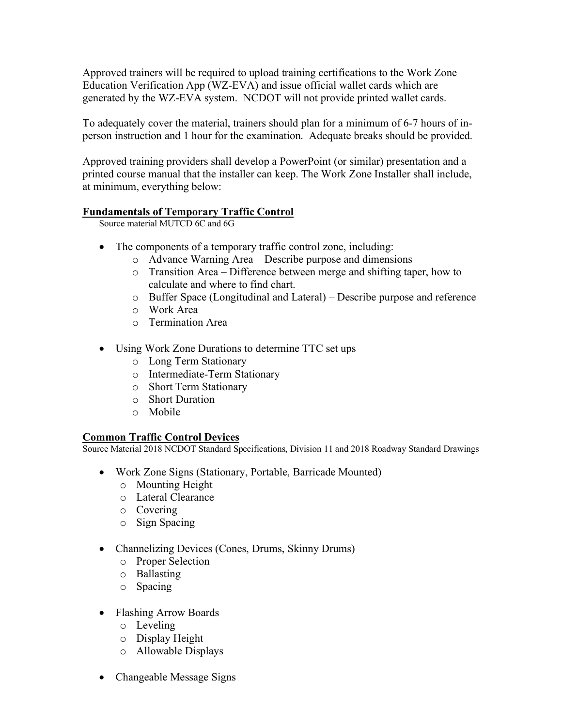Approved trainers will be required to upload training certifications to the Work Zone Education Verification App (WZ-EVA) and issue official wallet cards which are generated by the WZ-EVA system. NCDOT will not provide printed wallet cards.

To adequately cover the material, trainers should plan for a minimum of 6-7 hours of inperson instruction and 1 hour for the examination. Adequate breaks should be provided.

Approved training providers shall develop a PowerPoint (or similar) presentation and a printed course manual that the installer can keep. The Work Zone Installer shall include, at minimum, everything below:

## **Fundamentals of Temporary Traffic Control**

Source material MUTCD 6C and 6G

- The components of a temporary traffic control zone, including:
	- o Advance Warning Area Describe purpose and dimensions
	- o Transition Area Difference between merge and shifting taper, how to calculate and where to find chart.
	- o Buffer Space (Longitudinal and Lateral) Describe purpose and reference
	- o Work Area
	- o Termination Area
- Using Work Zone Durations to determine TTC set ups
	- o Long Term Stationary
	- o Intermediate-Term Stationary
	- o Short Term Stationary
	- o Short Duration
	- o Mobile

## **Common Traffic Control Devices**

Source Material 2018 NCDOT Standard Specifications, Division 11 and 2018 Roadway Standard Drawings

- Work Zone Signs (Stationary, Portable, Barricade Mounted)
	- o Mounting Height
	- o Lateral Clearance
	- o Covering
	- o Sign Spacing
- Channelizing Devices (Cones, Drums, Skinny Drums)
	- o Proper Selection
	- o Ballasting
	- o Spacing
- Flashing Arrow Boards
	- o Leveling
	- o Display Height
	- o Allowable Displays
- Changeable Message Signs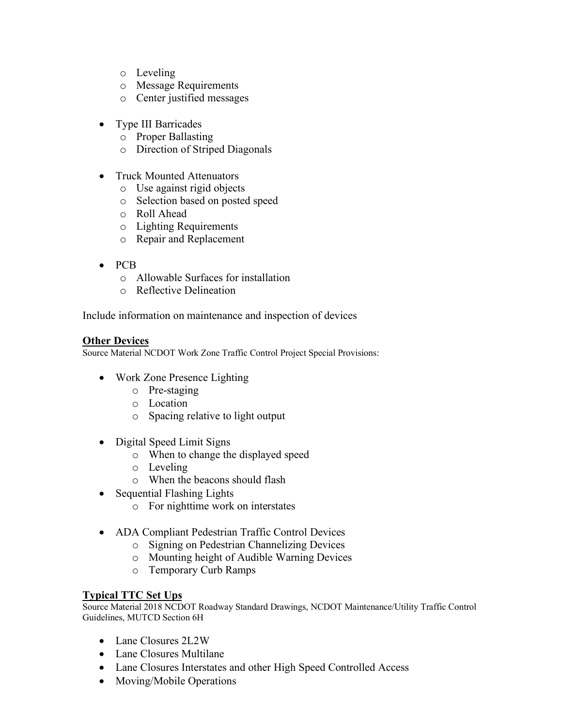- o Leveling
- o Message Requirements
- o Center justified messages
- Type III Barricades
	- o Proper Ballasting
	- o Direction of Striped Diagonals
- Truck Mounted Attenuators
	- o Use against rigid objects
	- o Selection based on posted speed
	- o Roll Ahead
	- o Lighting Requirements
	- o Repair and Replacement
- PCB
	- o Allowable Surfaces for installation
	- o Reflective Delineation

Include information on maintenance and inspection of devices

#### **Other Devices**

Source Material NCDOT Work Zone Traffic Control Project Special Provisions:

- Work Zone Presence Lighting
	- o Pre-staging
	- o Location
	- o Spacing relative to light output
- Digital Speed Limit Signs
	- o When to change the displayed speed
	- o Leveling
	- o When the beacons should flash
- Sequential Flashing Lights
	- o For nighttime work on interstates
- ADA Compliant Pedestrian Traffic Control Devices
	- o Signing on Pedestrian Channelizing Devices
	- o Mounting height of Audible Warning Devices
	- o Temporary Curb Ramps

## **Typical TTC Set Ups**

Source Material 2018 NCDOT Roadway Standard Drawings, NCDOT Maintenance/Utility Traffic Control Guidelines, MUTCD Section 6H

- Lane Closures 2L2W
- Lane Closures Multilane
- Lane Closures Interstates and other High Speed Controlled Access
- Moving/Mobile Operations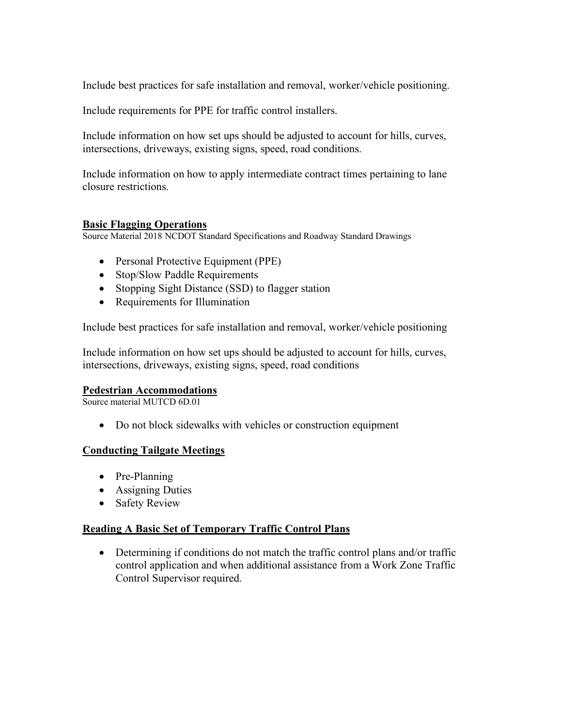Include best practices for safe installation and removal, worker/vehicle positioning.

Include requirements for PPE for traffic control installers.

Include information on how set ups should be adjusted to account for hills, curves, intersections, driveways, existing signs, speed, road conditions.

Include information on how to apply intermediate contract times pertaining to lane closure restrictions.

#### **Basic Flagging Operations**

Source Material 2018 NCDOT Standard Specifications and Roadway Standard Drawings

- Personal Protective Equipment (PPE)
- Stop/Slow Paddle Requirements
- Stopping Sight Distance (SSD) to flagger station
- Requirements for Illumination

Include best practices for safe installation and removal, worker/vehicle positioning

Include information on how set ups should be adjusted to account for hills, curves, intersections, driveways, existing signs, speed, road conditions

#### **Pedestrian Accommodations**

Source material MUTCD 6D.01

• Do not block sidewalks with vehicles or construction equipment

## **Conducting Tailgate Meetings**

- Pre-Planning
- Assigning Duties
- Safety Review

#### **Reading A Basic Set of Temporary Traffic Control Plans**

• Determining if conditions do not match the traffic control plans and/or traffic control application and when additional assistance from a Work Zone Traffic Control Supervisor required.